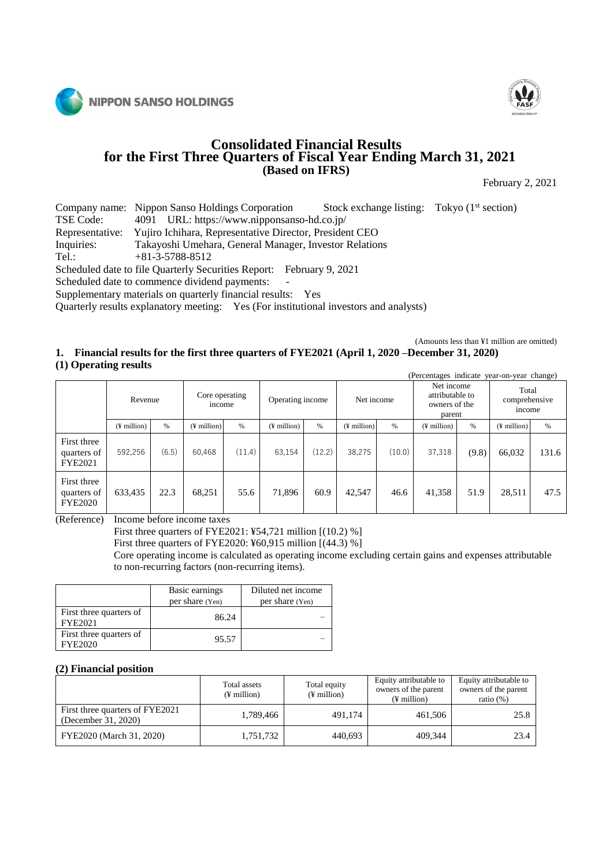



# **Consolidated Financial Results for the First Three Quarters of Fiscal Year Ending March 31, 2021 (Based on IFRS)**

February 2, 2021

Company name: Nippon Sanso Holdings Corporation Stock exchange listing: Tokyo (1<sup>st</sup> section)<br>TSE Code: 4091 URL: https://www.nipponsanso-hd.co.jp/ TSE Code: 4091 URL: https://www.nipponsanso-hd.co.jp/<br>Representative: Yujiro Ichihara, Representative Director, President Yujiro Ichihara, Representative Director, President CEO Inquiries: Takayoshi Umehara, General Manager, Investor Relations Tel.: +81-3-5788-8512

Scheduled date to file Quarterly Securities Report: February 9, 2021

Scheduled date to commence dividend payments:

Supplementary materials on quarterly financial results: Yes

Quarterly results explanatory meeting: Yes (For institutional investors and analysts)

#### (Amounts less than ¥1 million are omitted) **1. Financial results for the first three quarters of FYE2021 (April 1, 2020 –December 31, 2020) (1) Operating results**

| $\sim$ $\sim$                                | -                 |       |                          |        |                   |        |               |        | (Percentages indicate year-on-year change)               |       |                                  |       |
|----------------------------------------------|-------------------|-------|--------------------------|--------|-------------------|--------|---------------|--------|----------------------------------------------------------|-------|----------------------------------|-------|
|                                              | Revenue           |       | Core operating<br>income |        | Operating income  |        | Net income    |        | Net income<br>attributable to<br>owners of the<br>parent |       | Total<br>comprehensive<br>income |       |
|                                              | $($ ¥ million $)$ | $\%$  | $($ ¥ million $)$        | $\%$   | $($ ¥ million $)$ | $\%$   | $(F$ million) | $\%$   | $($ ¥ million $)$                                        | $\%$  | $($ ¥ million $)$                | $\%$  |
| First three<br>quarters of<br><b>FYE2021</b> | 592,256           | (6.5) | 60,468                   | (11.4) | 63,154            | (12.2) | 38.275        | (10.0) | 37,318                                                   | (9.8) | 66,032                           | 131.6 |
| First three<br>quarters of<br><b>FYE2020</b> | 633,435           | 22.3  | 68,251                   | 55.6   | 71,896            | 60.9   | 42,547        | 46.6   | 41,358                                                   | 51.9  | 28,511                           | 47.5  |

(Reference) Income before income taxes

First three quarters of FYE2021: ¥54,721 million [(10.2) %]

First three quarters of FYE2020: ¥60,915 million [(44.3) %]

Core operating income is calculated as operating income excluding certain gains and expenses attributable to non-recurring factors (non-recurring items).

|                                           | Basic earnings<br>per share (Yen) | Diluted net income<br>per share (Yen) |
|-------------------------------------------|-----------------------------------|---------------------------------------|
| First three quarters of<br><b>FYE2021</b> | 86.24                             |                                       |
| First three quarters of<br>FYE2020        | 95.57                             |                                       |

### **(2) Financial position**

|                                                        | Total assets<br>$(\frac{1}{2})$ million | Total equity<br>$(\frac{1}{2})$ million | Equity attributable to<br>owners of the parent<br>$(F$ million) | Equity attributable to<br>owners of the parent<br>ratio $(\%)$ |
|--------------------------------------------------------|-----------------------------------------|-----------------------------------------|-----------------------------------------------------------------|----------------------------------------------------------------|
| First three quarters of FYE2021<br>(December 31, 2020) | 1,789,466                               | 491.174                                 | 461.506                                                         | 25.8                                                           |
| FYE2020 (March 31, 2020)                               | 1,751,732                               | 440,693                                 | 409.344                                                         | 23.4                                                           |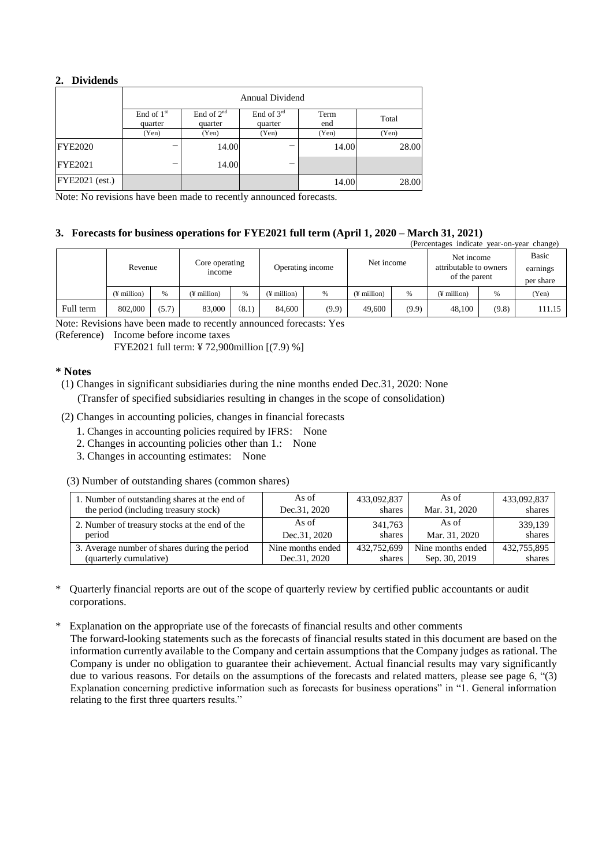## **2. Dividends**

|                       | <b>Annual Dividend</b>  |                         |                       |             |       |  |  |  |  |
|-----------------------|-------------------------|-------------------------|-----------------------|-------------|-------|--|--|--|--|
|                       | End of $1st$<br>quarter | End of $2nd$<br>quarter | End of 3rd<br>quarter | Term<br>end | Total |  |  |  |  |
|                       | (Yen)                   | (Yen)                   | (Yen)                 | (Yen)       | (Yen) |  |  |  |  |
| <b>FYE2020</b>        | -                       | 14.00                   |                       | 14.00       | 28.00 |  |  |  |  |
| <b>FYE2021</b>        | –                       | 14.00                   | –                     |             |       |  |  |  |  |
| <b>FYE2021</b> (est.) |                         |                         |                       | 14.00       | 28.00 |  |  |  |  |

Note: No revisions have been made to recently announced forecasts.

# **3. Forecasts for business operations for FYE2021 full term (April 1, 2020 – March 31, 2021)**

|           | (Percentages indicate year-on-year change) |       |                          |       |                   |       |                         |       |                                                       |       |                       |
|-----------|--------------------------------------------|-------|--------------------------|-------|-------------------|-------|-------------------------|-------|-------------------------------------------------------|-------|-----------------------|
|           | Revenue                                    |       | Core operating<br>income |       | Operating income  |       | Net income              |       | Net income<br>attributable to owners<br>of the parent |       | Basic                 |
|           |                                            |       |                          |       |                   |       |                         |       |                                                       |       | earnings<br>per share |
|           | $($ ¥ million $)$                          | %     | (¥ million)              | %     | $($ ¥ million $)$ | %     | $(\frac{1}{2})$ million | %     | $($ <del>i</del> million $)$                          | %     | (Yen)                 |
| Full term | 802,000                                    | (5.7) | 83,000                   | (8.1) | 84,600            | (9.9) | 49,600                  | (9.9) | 48,100                                                | (9.8) | 111.15                |

Note: Revisions have been made to recently announced forecasts: Yes

(Reference) Income before income taxes

FYE2021 full term: ¥ 72,900million [(7.9) %]

## **\* Notes**

(1) Changes in significant subsidiaries during the nine months ended Dec.31, 2020: None

(Transfer of specified subsidiaries resulting in changes in the scope of consolidation)

- (2) Changes in accounting policies, changes in financial forecasts
	- 1. Changes in accounting policies required by IFRS: None
	- 2. Changes in accounting policies other than 1.: None
	- 3. Changes in accounting estimates: None
- (3) Number of outstanding shares (common shares)

| 1. Number of outstanding shares at the end of  | As of             | 433,092,837 | As of             | 433,092,837 |
|------------------------------------------------|-------------------|-------------|-------------------|-------------|
| the period (including treasury stock)          | Dec.31, 2020      | shares      | Mar. 31, 2020     | shares      |
| 2. Number of treasury stocks at the end of the | As of             | 341.763     | As of             | 339,139     |
| period                                         | Dec.31, 2020      | shares      | Mar. 31, 2020     | shares      |
| 3. Average number of shares during the period  | Nine months ended | 432,752,699 | Nine months ended | 432,755,895 |
| (quarterly cumulative)                         | Dec.31, 2020      | shares      | Sep. 30, 2019     | shares      |

\* Quarterly financial reports are out of the scope of quarterly review by certified public accountants or audit corporations.

\* Explanation on the appropriate use of the forecasts of financial results and other comments

 The forward-looking statements such as the forecasts of financial results stated in this document are based on the information currently available to the Company and certain assumptions that the Company judges as rational. The Company is under no obligation to guarantee their achievement. Actual financial results may vary significantly due to various reasons. For details on the assumptions of the forecasts and related matters, please see page 6, "(3) Explanation concerning predictive information such as forecasts for business operations" in "1. General information relating to the first three quarters results."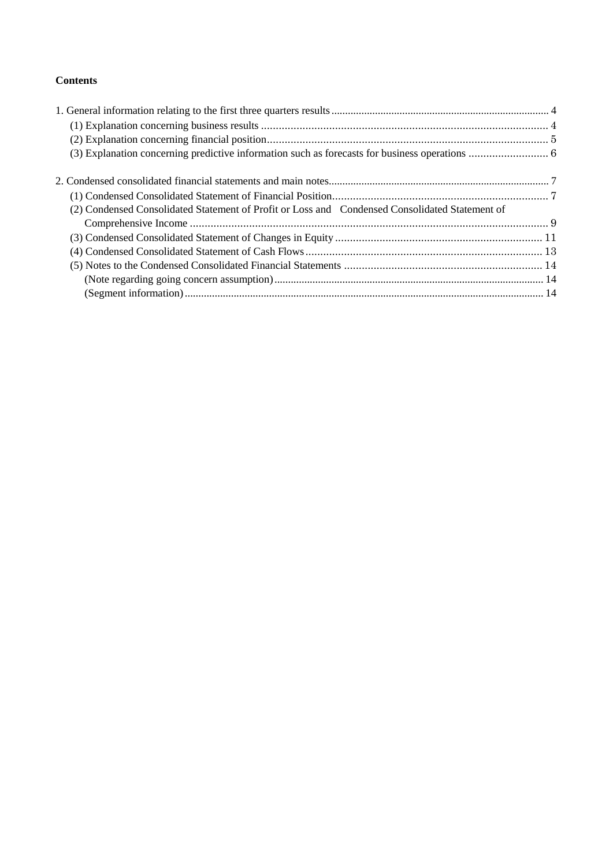# **Contents**

| (2) Condensed Consolidated Statement of Profit or Loss and Condensed Consolidated Statement of |  |
|------------------------------------------------------------------------------------------------|--|
|                                                                                                |  |
|                                                                                                |  |
|                                                                                                |  |
|                                                                                                |  |
|                                                                                                |  |
|                                                                                                |  |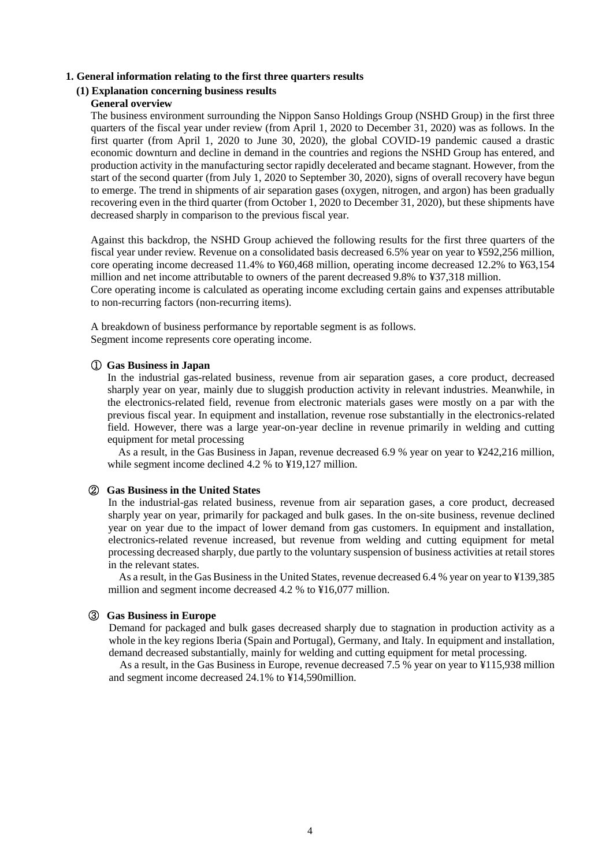### <span id="page-3-0"></span>**1. General information relating to the first three quarters results**

# <span id="page-3-1"></span>**(1) Explanation concerning business results**

### **General overview**

The business environment surrounding the Nippon Sanso Holdings Group (NSHD Group) in the first three quarters of the fiscal year under review (from April 1, 2020 to December 31, 2020) was as follows. In the first quarter (from April 1, 2020 to June 30, 2020), the global COVID-19 pandemic caused a drastic economic downturn and decline in demand in the countries and regions the NSHD Group has entered, and production activity in the manufacturing sector rapidly decelerated and became stagnant. However, from the start of the second quarter (from July 1, 2020 to September 30, 2020), signs of overall recovery have begun to emerge. The trend in shipments of air separation gases (oxygen, nitrogen, and argon) has been gradually recovering even in the third quarter (from October 1, 2020 to December 31, 2020), but these shipments have decreased sharply in comparison to the previous fiscal year.

Against this backdrop, the NSHD Group achieved the following results for the first three quarters of the fiscal year under review. Revenue on a consolidated basis decreased 6.5% year on year to ¥592,256 million, core operating income decreased 11.4% to ¥60,468 million, operating income decreased 12.2% to ¥63,154 million and net income attributable to owners of the parent decreased 9.8% to ¥37,318 million.

Core operating income is calculated as operating income excluding certain gains and expenses attributable to non-recurring factors (non-recurring items).

A breakdown of business performance by reportable segment is as follows. Segment income represents core operating income.

## ① **Gas Business in Japan**

In the industrial gas-related business, revenue from air separation gases, a core product, decreased sharply year on year, mainly due to sluggish production activity in relevant industries. Meanwhile, in the electronics-related field, revenue from electronic materials gases were mostly on a par with the previous fiscal year. In equipment and installation, revenue rose substantially in the electronics-related field. However, there was a large year-on-year decline in revenue primarily in welding and cutting equipment for metal processing

As a result, in the Gas Business in Japan, revenue decreased 6.9 % year on year to ¥242,216 million, while segment income declined 4.2 % to ¥19,127 million.

#### ② **Gas Business in the United States**

In the industrial-gas related business, revenue from air separation gases, a core product, decreased sharply year on year, primarily for packaged and bulk gases. In the on-site business, revenue declined year on year due to the impact of lower demand from gas customers. In equipment and installation, electronics-related revenue increased, but revenue from welding and cutting equipment for metal processing decreased sharply, due partly to the voluntary suspension of business activities at retail stores in the relevant states.

As a result, in the Gas Business in the United States, revenue decreased 6.4 % year on year to ¥139,385 million and segment income decreased 4.2 % to ¥16,077 million.

## ③ **Gas Business in Europe**

Demand for packaged and bulk gases decreased sharply due to stagnation in production activity as a whole in the key regions Iberia (Spain and Portugal), Germany, and Italy. In equipment and installation, demand decreased substantially, mainly for welding and cutting equipment for metal processing.

As a result, in the Gas Business in Europe, revenue decreased 7.5 % year on year to ¥115,938 million and segment income decreased 24.1% to ¥14,590million.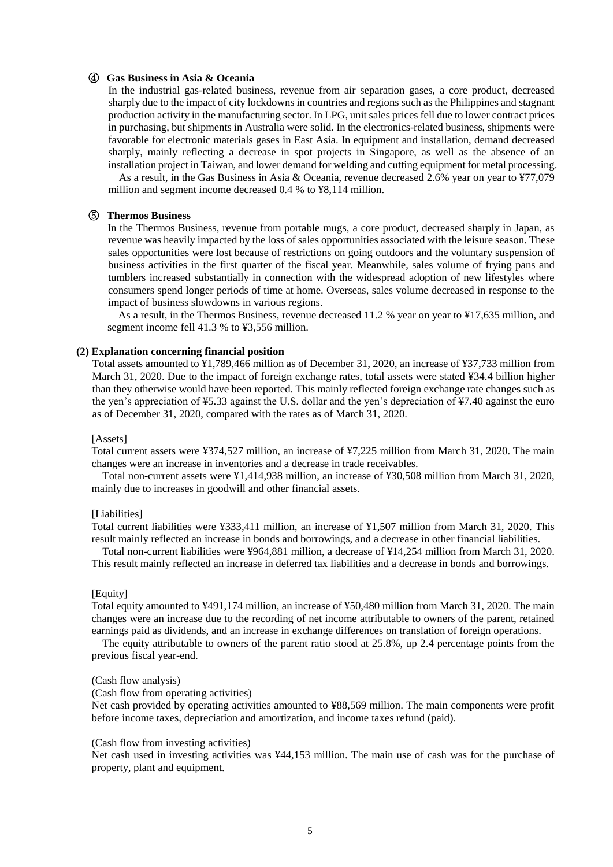### ④ **Gas Business in Asia & Oceania**

In the industrial gas-related business, revenue from air separation gases, a core product, decreased sharply due to the impact of city lockdowns in countries and regions such as the Philippines and stagnant production activity in the manufacturing sector. In LPG, unit sales prices fell due to lower contract prices in purchasing, but shipments in Australia were solid. In the electronics-related business, shipments were favorable for electronic materials gases in East Asia. In equipment and installation, demand decreased sharply, mainly reflecting a decrease in spot projects in Singapore, as well as the absence of an installation project in Taiwan, and lower demand for welding and cutting equipment for metal processing.

As a result, in the Gas Business in Asia & Oceania, revenue decreased 2.6% year on year to ¥77,079 million and segment income decreased 0.4 % to ¥8,114 million.

## ⑤ **Thermos Business**

In the Thermos Business, revenue from portable mugs, a core product, decreased sharply in Japan, as revenue was heavily impacted by the loss of sales opportunities associated with the leisure season. These sales opportunities were lost because of restrictions on going outdoors and the voluntary suspension of business activities in the first quarter of the fiscal year. Meanwhile, sales volume of frying pans and tumblers increased substantially in connection with the widespread adoption of new lifestyles where consumers spend longer periods of time at home. Overseas, sales volume decreased in response to the impact of business slowdowns in various regions.

As a result, in the Thermos Business, revenue decreased 11.2 % year on year to ¥17,635 million, and segment income fell 41.3 % to ¥3,556 million.

## <span id="page-4-0"></span>**(2) Explanation concerning financial position**

Total assets amounted to ¥1,789,466 million as of December 31, 2020, an increase of ¥37,733 million from March 31, 2020. Due to the impact of foreign exchange rates, total assets were stated ¥34.4 billion higher than they otherwise would have been reported. This mainly reflected foreign exchange rate changes such as the yen's appreciation of ¥5.33 against the U.S. dollar and the yen's depreciation of ¥7.40 against the euro as of December 31, 2020, compared with the rates as of March 31, 2020.

#### [Assets]

Total current assets were ¥374,527 million, an increase of ¥7,225 million from March 31, 2020. The main changes were an increase in inventories and a decrease in trade receivables.

Total non-current assets were ¥1,414,938 million, an increase of ¥30,508 million from March 31, 2020, mainly due to increases in goodwill and other financial assets.

#### [Liabilities]

Total current liabilities were ¥333,411 million, an increase of ¥1,507 million from March 31, 2020. This result mainly reflected an increase in bonds and borrowings, and a decrease in other financial liabilities.

Total non-current liabilities were ¥964,881 million, a decrease of ¥14,254 million from March 31, 2020. This result mainly reflected an increase in deferred tax liabilities and a decrease in bonds and borrowings.

#### [Equity]

Total equity amounted to ¥491,174 million, an increase of ¥50,480 million from March 31, 2020. The main changes were an increase due to the recording of net income attributable to owners of the parent, retained earnings paid as dividends, and an increase in exchange differences on translation of foreign operations.

The equity attributable to owners of the parent ratio stood at 25.8%, up 2.4 percentage points from the previous fiscal year-end.

#### (Cash flow analysis)

(Cash flow from operating activities)

Net cash provided by operating activities amounted to ¥88,569 million. The main components were profit before income taxes, depreciation and amortization, and income taxes refund (paid).

#### (Cash flow from investing activities)

Net cash used in investing activities was ¥44,153 million. The main use of cash was for the purchase of property, plant and equipment.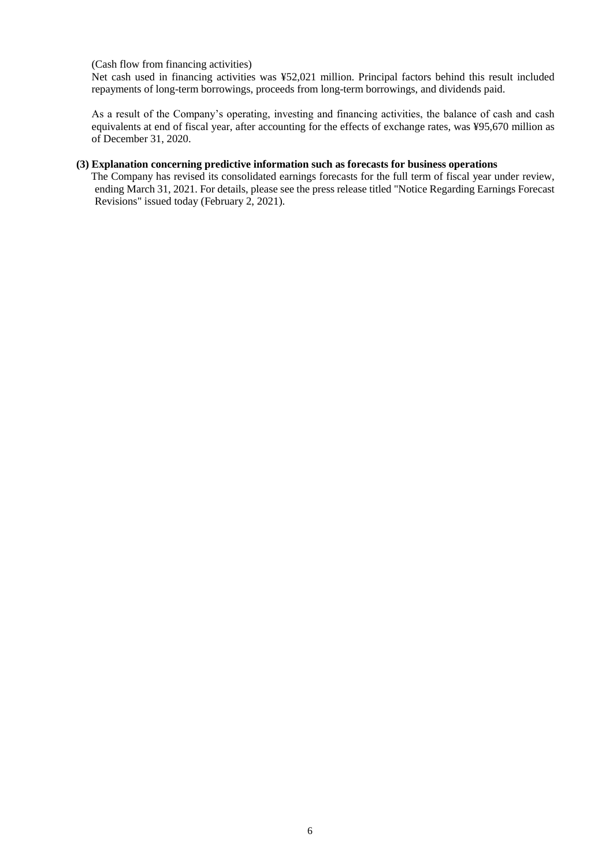(Cash flow from financing activities)

Net cash used in financing activities was ¥52,021 million. Principal factors behind this result included repayments of long-term borrowings, proceeds from long-term borrowings, and dividends paid.

As a result of the Company's operating, investing and financing activities, the balance of cash and cash equivalents at end of fiscal year, after accounting for the effects of exchange rates, was ¥95,670 million as of December 31, 2020.

## <span id="page-5-0"></span>**(3) Explanation concerning predictive information such as forecasts for business operations**

 The Company has revised its consolidated earnings forecasts for the full term of fiscal year under review, ending March 31, 2021. For details, please see the press release titled "Notice Regarding Earnings Forecast Revisions" issued today (February 2, 2021).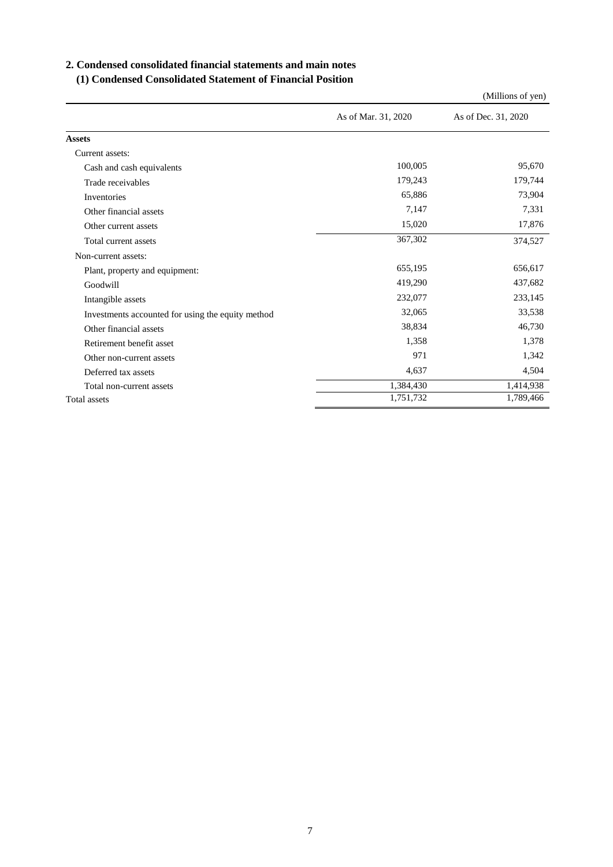## <span id="page-6-0"></span>**2. Condensed consolidated financial statements and main notes**

## <span id="page-6-1"></span>**(1) Condensed Consolidated Statement of Financial Position**

|                                                   |                     | (Millions of yen)   |
|---------------------------------------------------|---------------------|---------------------|
|                                                   | As of Mar. 31, 2020 | As of Dec. 31, 2020 |
| <b>Assets</b>                                     |                     |                     |
| Current assets:                                   |                     |                     |
| Cash and cash equivalents                         | 100,005             | 95,670              |
| Trade receivables                                 | 179,243             | 179,744             |
| Inventories                                       | 65,886              | 73,904              |
| Other financial assets                            | 7,147               | 7,331               |
| Other current assets                              | 15,020              | 17,876              |
| Total current assets                              | 367,302             | 374,527             |
| Non-current assets:                               |                     |                     |
| Plant, property and equipment:                    | 655,195             | 656,617             |
| Goodwill                                          | 419,290             | 437,682             |
| Intangible assets                                 | 232,077             | 233,145             |
| Investments accounted for using the equity method | 32,065              | 33,538              |
| Other financial assets                            | 38,834              | 46,730              |
| Retirement benefit asset                          | 1,358               | 1,378               |
| Other non-current assets                          | 971                 | 1,342               |
| Deferred tax assets                               | 4,637               | 4,504               |
| Total non-current assets                          | 1,384,430           | 1,414,938           |
| <b>Total assets</b>                               | 1,751,732           | 1,789,466           |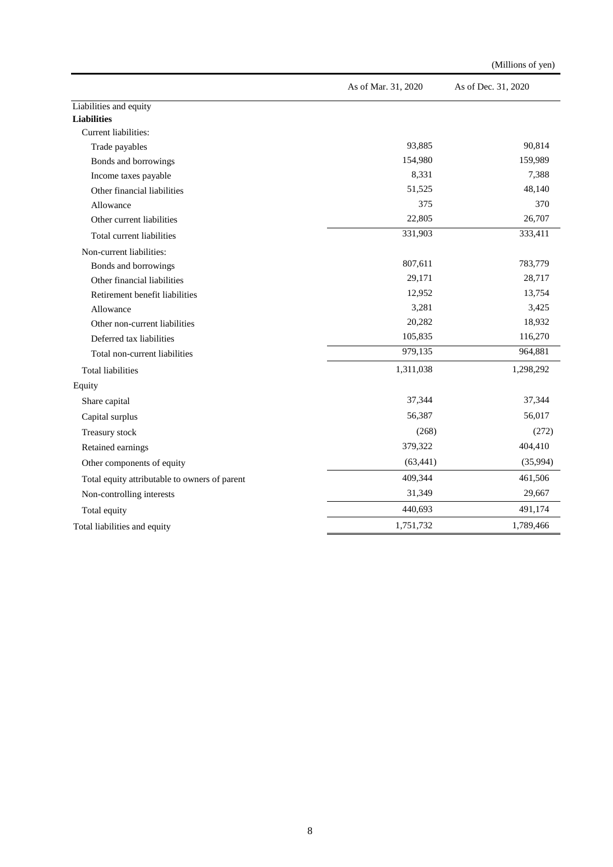|                                               | As of Mar. 31, 2020 | As of Dec. 31, 2020 |
|-----------------------------------------------|---------------------|---------------------|
| Liabilities and equity                        |                     |                     |
| <b>Liabilities</b>                            |                     |                     |
| Current liabilities:                          |                     |                     |
| Trade payables                                | 93,885              | 90,814              |
| Bonds and borrowings                          | 154,980             | 159,989             |
| Income taxes payable                          | 8,331               | 7,388               |
| Other financial liabilities                   | 51,525              | 48,140              |
| Allowance                                     | 375                 | 370                 |
| Other current liabilities                     | 22,805              | 26,707              |
| Total current liabilities                     | 331,903             | 333,411             |
| Non-current liabilities:                      |                     |                     |
| Bonds and borrowings                          | 807,611             | 783,779             |
| Other financial liabilities                   | 29,171              | 28,717              |
| Retirement benefit liabilities                | 12,952              | 13,754              |
| Allowance                                     | 3,281               | 3,425               |
| Other non-current liabilities                 | 20,282              | 18,932              |
| Deferred tax liabilities                      | 105,835             | 116,270             |
| Total non-current liabilities                 | 979,135             | 964,881             |
| <b>Total liabilities</b>                      | 1,311,038           | 1,298,292           |
| Equity                                        |                     |                     |
| Share capital                                 | 37,344              | 37,344              |
| Capital surplus                               | 56,387              | 56,017              |
| Treasury stock                                | (268)               | (272)               |
| Retained earnings                             | 379,322             | 404,410             |
| Other components of equity                    | (63, 441)           | (35,994)            |
| Total equity attributable to owners of parent | 409,344             | 461,506             |
| Non-controlling interests                     | 31,349              | 29,667              |
| Total equity                                  | 440,693             | 491,174             |
| Total liabilities and equity                  | 1,751,732           | 1,789,466           |

(Millions of yen)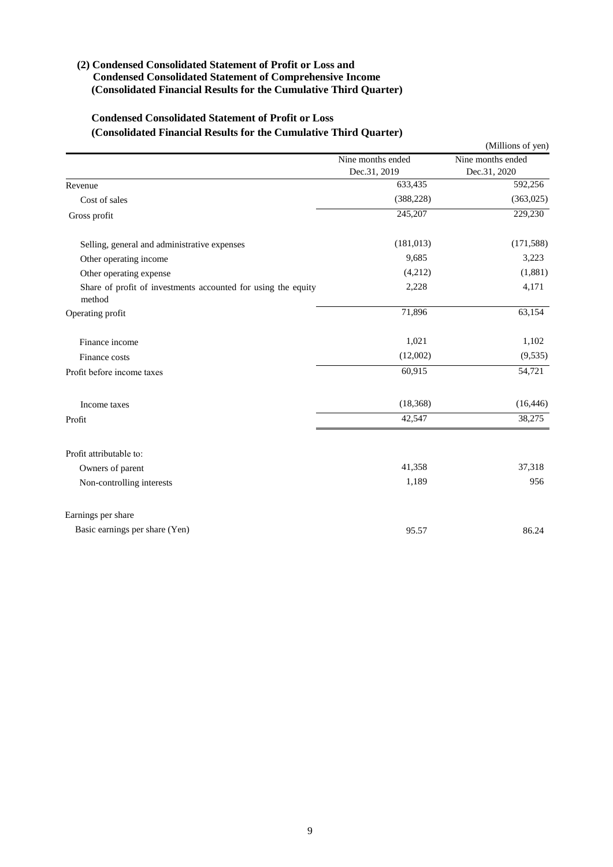## <span id="page-8-0"></span>**(2) Condensed Consolidated Statement of Profit or Loss and Condensed Consolidated Statement of Comprehensive Income (Consolidated Financial Results for the Cumulative Third Quarter)**

## **Condensed Consolidated Statement of Profit or Loss (Consolidated Financial Results for the Cumulative Third Quarter)**

|                                                                         |                   | (Millions of yen) |
|-------------------------------------------------------------------------|-------------------|-------------------|
|                                                                         | Nine months ended | Nine months ended |
|                                                                         | Dec.31, 2019      | Dec.31, 2020      |
| Revenue                                                                 | 633,435           | 592,256           |
| Cost of sales                                                           | (388, 228)        | (363,025)         |
| Gross profit                                                            | 245,207           | 229,230           |
| Selling, general and administrative expenses                            | (181, 013)        | (171, 588)        |
| Other operating income                                                  | 9,685             | 3,223             |
| Other operating expense                                                 | (4,212)           | (1,881)           |
| Share of profit of investments accounted for using the equity<br>method | 2,228             | 4,171             |
| Operating profit                                                        | 71,896            | 63,154            |
| Finance income                                                          | 1,021             | 1,102             |
| Finance costs                                                           | (12,002)          | (9, 535)          |
| Profit before income taxes                                              | 60,915            | 54,721            |
| Income taxes                                                            | (18, 368)         | (16, 446)         |
| Profit                                                                  | 42,547            | 38,275            |
| Profit attributable to:                                                 |                   |                   |
| Owners of parent                                                        | 41,358            | 37,318            |
| Non-controlling interests                                               | 1,189             | 956               |
| Earnings per share                                                      |                   |                   |
| Basic earnings per share (Yen)                                          | 95.57             | 86.24             |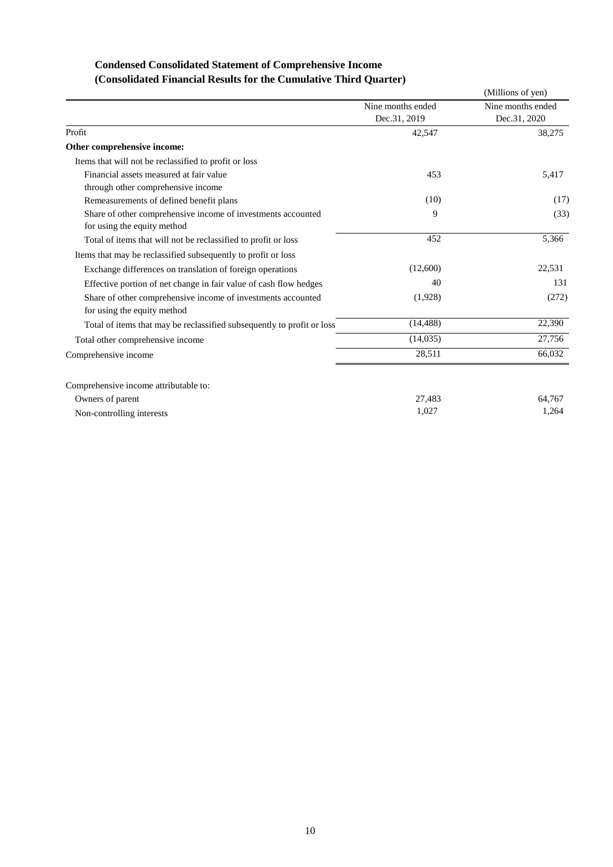# **Condensed Consolidated Statement of Comprehensive Income (Consolidated Financial Results for the Cumulative Third Quarter)**

|                                                                        |                   | (Millions of yen) |
|------------------------------------------------------------------------|-------------------|-------------------|
|                                                                        | Nine months ended | Nine months ended |
|                                                                        | Dec.31, 2019      | Dec.31, 2020      |
| Profit                                                                 | 42,547            | 38,275            |
| Other comprehensive income:                                            |                   |                   |
| Items that will not be reclassified to profit or loss                  |                   |                   |
| Financial assets measured at fair value                                | 453               | 5,417             |
| through other comprehensive income                                     |                   |                   |
| Remeasurements of defined benefit plans                                | (10)              | (17)              |
| Share of other comprehensive income of investments accounted           | 9                 | (33)              |
| for using the equity method                                            |                   |                   |
| Total of items that will not be reclassified to profit or loss         | 452               | 5,366             |
| Items that may be reclassified subsequently to profit or loss          |                   |                   |
| Exchange differences on translation of foreign operations              | (12,600)          | 22,531            |
| Effective portion of net change in fair value of cash flow hedges      | 40                | 131               |
| Share of other comprehensive income of investments accounted           | (1,928)           | (272)             |
| for using the equity method                                            |                   |                   |
| Total of items that may be reclassified subsequently to profit or loss | (14, 488)         | 22,390            |
| Total other comprehensive income                                       | (14,035)          | 27,756            |
| Comprehensive income                                                   | 28,511            | 66,032            |
| Comprehensive income attributable to:                                  |                   |                   |
| Owners of parent                                                       | 27,483            | 64,767            |
| Non-controlling interests                                              | 1,027             | 1,264             |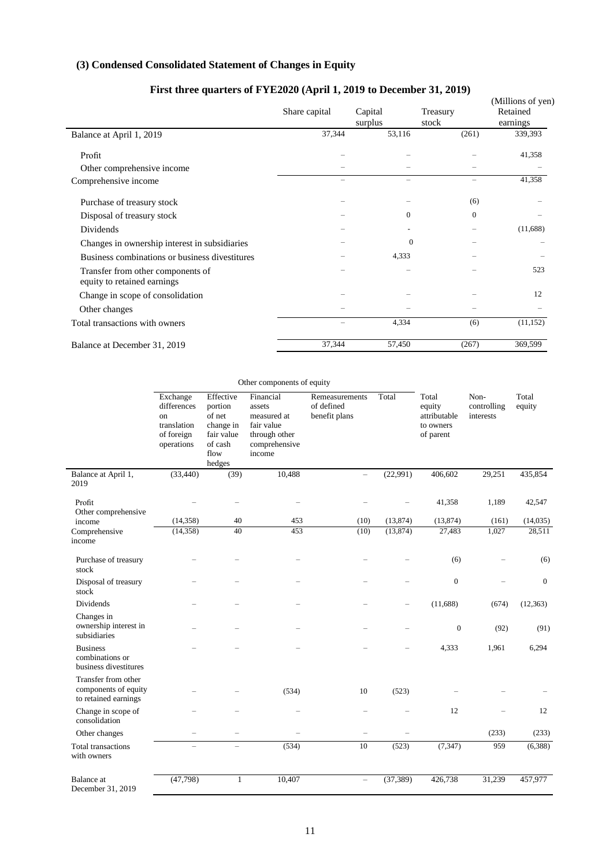# <span id="page-10-0"></span>**(3) Condensed Consolidated Statement of Changes in Equity**

| First three quarters of FYE2020 (April 1, 2019 to December 31, 2019) | Share capital | Capital<br>surplus | Treasury<br>stock | (Millions of yen)<br>Retained<br>earnings |
|----------------------------------------------------------------------|---------------|--------------------|-------------------|-------------------------------------------|
| Balance at April 1, 2019                                             | 37,344        | 53,116             | (261)             | 339,393                                   |
| Profit                                                               |               |                    |                   | 41,358                                    |
| Other comprehensive income                                           |               |                    |                   |                                           |
| Comprehensive income                                                 | -             |                    | -                 | 41,358                                    |
| Purchase of treasury stock                                           |               |                    | (6)               |                                           |
| Disposal of treasury stock                                           |               | $\mathbf{0}$       | $\mathbf{0}$      |                                           |
| Dividends                                                            |               |                    |                   | (11,688)                                  |
| Changes in ownership interest in subsidiaries                        |               | $\Omega$           |                   |                                           |
| Business combinations or business divestitures                       |               | 4,333              |                   |                                           |
| Transfer from other components of<br>equity to retained earnings     |               |                    |                   | 523                                       |
| Change in scope of consolidation                                     |               |                    |                   | 12                                        |
| Other changes                                                        |               |                    |                   |                                           |
| Total transactions with owners                                       |               | 4,334              | (6)               | (11, 152)                                 |
| Balance at December 31, 2019                                         | 37,344        | 57,450             | (267)             | 369,599                                   |

# **First three quarters of FYE2020 (April 1, 2019 to December 31, 2019)**

|                                                                     | Other components of equity                                                        |                                                                                        |                                                                                              |                                               |                          |                                                           |                                  |                    |
|---------------------------------------------------------------------|-----------------------------------------------------------------------------------|----------------------------------------------------------------------------------------|----------------------------------------------------------------------------------------------|-----------------------------------------------|--------------------------|-----------------------------------------------------------|----------------------------------|--------------------|
|                                                                     | Exchange<br>differences<br>$_{\rm on}$<br>translation<br>of foreign<br>operations | Effective<br>portion<br>of net<br>change in<br>fair value<br>of cash<br>flow<br>hedges | Financial<br>assets<br>measured at<br>fair value<br>through other<br>comprehensive<br>income | Remeasurements<br>of defined<br>benefit plans | Total                    | Total<br>equity<br>attributable<br>to owners<br>of parent | Non-<br>controlling<br>interests | Total<br>equity    |
| Balance at April 1,<br>2019                                         | (33, 440)                                                                         | (39)                                                                                   | 10,488                                                                                       |                                               | (22,991)                 | 406,602                                                   | 29,251                           | 435,854            |
| Profit<br>Other comprehensive<br>income                             | (14,358)                                                                          | 40                                                                                     | 453                                                                                          | (10)                                          | (13, 874)                | 41,358<br>(13, 874)                                       | 1,189<br>(161)                   | 42,547<br>(14,035) |
| Comprehensive<br>income                                             | (14, 358)                                                                         | 40                                                                                     | 453                                                                                          | (10)                                          | (13, 874)                | 27,483                                                    | 1,027                            | 28,511             |
| Purchase of treasury<br>stock                                       |                                                                                   | $\overline{\phantom{0}}$                                                               | $\overline{\phantom{0}}$                                                                     |                                               |                          | (6)                                                       |                                  | (6)                |
| Disposal of treasury<br>stock                                       |                                                                                   | -                                                                                      |                                                                                              |                                               | $\overline{\phantom{0}}$ | $\boldsymbol{0}$                                          |                                  | $\boldsymbol{0}$   |
| Dividends<br>Changes in                                             |                                                                                   |                                                                                        |                                                                                              |                                               | -                        | (11,688)                                                  | (674)                            | (12, 363)          |
| ownership interest in<br>subsidiaries                               |                                                                                   |                                                                                        |                                                                                              |                                               |                          | $\boldsymbol{0}$                                          | (92)                             | (91)               |
| <b>Business</b><br>combinations or<br>business divestitures         |                                                                                   |                                                                                        |                                                                                              |                                               |                          | 4,333                                                     | 1,961                            | 6,294              |
| Transfer from other<br>components of equity<br>to retained earnings |                                                                                   |                                                                                        | (534)                                                                                        | 10                                            | (523)                    |                                                           |                                  |                    |
| Change in scope of<br>consolidation                                 |                                                                                   | $\overline{\phantom{0}}$                                                               |                                                                                              |                                               |                          | 12                                                        |                                  | 12                 |
| Other changes                                                       |                                                                                   |                                                                                        |                                                                                              |                                               |                          |                                                           | (233)                            | (233)              |
| <b>Total transactions</b><br>with owners                            | $\overline{\phantom{m}}$                                                          | $\overline{a}$                                                                         | (534)                                                                                        | 10                                            | (523)                    | (7, 347)                                                  | 959                              | (6,388)            |
| <b>Balance</b> at<br>December 31, 2019                              | (47, 798)                                                                         | $\mathbf{1}$                                                                           | 10,407                                                                                       | $\overline{\phantom{m}}$                      | (37, 389)                | 426,738                                                   | 31,239                           | 457,977            |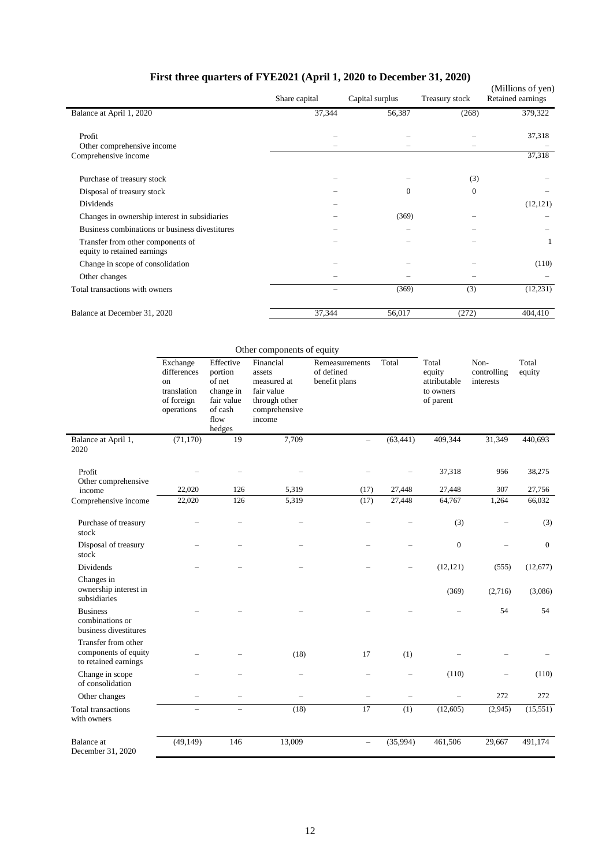| First three quarters of FYE2021 (April 1, 2020 to December 31, 2020) |  |  |
|----------------------------------------------------------------------|--|--|
|----------------------------------------------------------------------|--|--|

| Prist three quarters of Prist 2021 (April 1, 2020 to December 31, 2020) | Share capital | Capital surplus | Treasury stock | (Millions of yen)<br>Retained earnings |
|-------------------------------------------------------------------------|---------------|-----------------|----------------|----------------------------------------|
| Balance at April 1, 2020                                                | 37,344        | 56,387          | (268)          | 379,322                                |
| Profit<br>Other comprehensive income<br>Comprehensive income            |               |                 |                | 37,318<br>37,318                       |
|                                                                         |               |                 |                |                                        |
| Purchase of treasury stock                                              |               |                 | (3)            |                                        |
| Disposal of treasury stock                                              |               | $\mathbf{0}$    | $\mathbf{0}$   |                                        |
| Dividends                                                               |               |                 |                | (12, 121)                              |
| Changes in ownership interest in subsidiaries                           |               | (369)           |                |                                        |
| Business combinations or business divestitures                          |               |                 |                |                                        |
| Transfer from other components of<br>equity to retained earnings        |               |                 |                |                                        |
| Change in scope of consolidation                                        |               |                 |                | (110)                                  |
| Other changes                                                           |               |                 |                |                                        |
| Total transactions with owners                                          |               | (369)           | (3)            | (12, 231)                              |
| Balance at December 31, 2020                                            | 37,344        | 56,017          | (272)          | 404,410                                |

|                                                                     |                                                                          |                                                                                        | Other components of equity                                                                   |                                               |                          |                                                           |                                  |                     |
|---------------------------------------------------------------------|--------------------------------------------------------------------------|----------------------------------------------------------------------------------------|----------------------------------------------------------------------------------------------|-----------------------------------------------|--------------------------|-----------------------------------------------------------|----------------------------------|---------------------|
|                                                                     | Exchange<br>differences<br>on<br>translation<br>of foreign<br>operations | Effective<br>portion<br>of net<br>change in<br>fair value<br>of cash<br>flow<br>hedges | Financial<br>assets<br>measured at<br>fair value<br>through other<br>comprehensive<br>income | Remeasurements<br>of defined<br>benefit plans | Total                    | Total<br>equity<br>attributable<br>to owners<br>of parent | Non-<br>controlling<br>interests | Total<br>equity     |
| Balance at April 1,<br>2020                                         | (71, 170)                                                                | 19                                                                                     | 7,709                                                                                        |                                               | (63, 441)                | 409,344                                                   | 31,349                           | 440,693             |
| Profit<br>Other comprehensive<br>income                             | 22,020                                                                   | 126                                                                                    | 5,319                                                                                        | (17)                                          | 27,448                   | 37,318<br>27,448                                          | 956<br>307                       | 38,275<br>27,756    |
| Comprehensive income                                                | 22,020                                                                   | 126                                                                                    | 5,319                                                                                        | (17)                                          | 27,448                   | 64,767                                                    | 1,264                            | 66,032              |
| Purchase of treasury<br>stock                                       |                                                                          |                                                                                        |                                                                                              |                                               |                          | (3)                                                       |                                  | (3)                 |
| Disposal of treasury<br>stock                                       |                                                                          |                                                                                        |                                                                                              |                                               |                          | $\boldsymbol{0}$                                          |                                  | $\boldsymbol{0}$    |
| Dividends<br>Changes in<br>ownership interest in<br>subsidiaries    |                                                                          |                                                                                        |                                                                                              |                                               |                          | (12, 121)<br>(369)                                        | (555)<br>(2,716)                 | (12,677)<br>(3,086) |
| <b>Business</b><br>combinations or<br>business divestitures         |                                                                          |                                                                                        |                                                                                              |                                               |                          |                                                           | 54                               | 54                  |
| Transfer from other<br>components of equity<br>to retained earnings |                                                                          |                                                                                        | (18)                                                                                         | 17                                            | (1)                      |                                                           |                                  |                     |
| Change in scope<br>of consolidation                                 |                                                                          |                                                                                        | $\overline{\phantom{0}}$                                                                     |                                               | $\overline{\phantom{0}}$ | (110)                                                     | -                                | (110)               |
| Other changes                                                       |                                                                          |                                                                                        | $\overline{\phantom{0}}$                                                                     |                                               | $\overline{\phantom{0}}$ | $\overline{\phantom{0}}$                                  | 272                              | 272                 |
| <b>Total transactions</b><br>with owners                            |                                                                          | $\overline{\phantom{0}}$                                                               | (18)                                                                                         | 17                                            | (1)                      | (12,605)                                                  | (2,945)                          | (15,551)            |
| <b>Balance</b> at<br>December 31, 2020                              | (49, 149)                                                                | 146                                                                                    | 13,009                                                                                       | $\overline{\phantom{0}}$                      | (35,994)                 | 461,506                                                   | 29,667                           | 491,174             |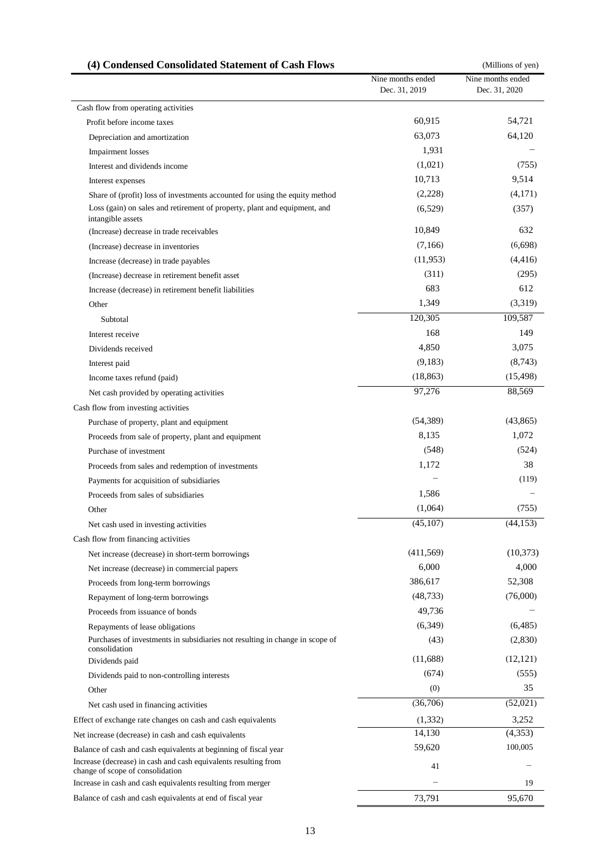<span id="page-12-0"></span>

| (4) Condensed Consolidated Statement of Cash Flows                                                  |                                    | (Millions of yen)                  |
|-----------------------------------------------------------------------------------------------------|------------------------------------|------------------------------------|
|                                                                                                     | Nine months ended<br>Dec. 31, 2019 | Nine months ended<br>Dec. 31, 2020 |
| Cash flow from operating activities                                                                 |                                    |                                    |
| Profit before income taxes                                                                          | 60,915                             | 54,721                             |
| Depreciation and amortization                                                                       | 63,073                             | 64,120                             |
| <b>Impairment</b> losses                                                                            | 1,931                              |                                    |
| Interest and dividends income                                                                       | (1,021)                            | (755)                              |
| Interest expenses                                                                                   | 10,713                             | 9,514                              |
| Share of (profit) loss of investments accounted for using the equity method                         | (2,228)                            | (4,171)                            |
| Loss (gain) on sales and retirement of property, plant and equipment, and<br>intangible assets      | (6,529)                            | (357)                              |
| (Increase) decrease in trade receivables                                                            | 10,849                             | 632                                |
| (Increase) decrease in inventories                                                                  | (7,166)                            | (6,698)                            |
| Increase (decrease) in trade payables                                                               | (11,953)                           | (4, 416)                           |
| (Increase) decrease in retirement benefit asset                                                     | (311)                              | (295)                              |
| Increase (decrease) in retirement benefit liabilities                                               | 683                                | 612                                |
| Other                                                                                               | 1,349                              | (3,319)                            |
| Subtotal                                                                                            | 120,305                            | 109,587                            |
| Interest receive                                                                                    | 168                                | 149                                |
| Dividends received                                                                                  | 4,850                              | 3,075                              |
| Interest paid                                                                                       | (9,183)                            | (8,743)                            |
| Income taxes refund (paid)                                                                          | (18, 863)                          | (15, 498)                          |
| Net cash provided by operating activities                                                           | 97,276                             | 88,569                             |
| Cash flow from investing activities                                                                 |                                    |                                    |
| Purchase of property, plant and equipment                                                           | (54, 389)                          | (43,865)                           |
| Proceeds from sale of property, plant and equipment                                                 | 8,135                              | 1,072                              |
| Purchase of investment                                                                              | (548)                              | (524)                              |
| Proceeds from sales and redemption of investments                                                   | 1,172                              | 38                                 |
| Payments for acquisition of subsidiaries                                                            |                                    | (119)                              |
| Proceeds from sales of subsidiaries                                                                 | 1,586                              |                                    |
| Other                                                                                               | (1,064)                            | (755)                              |
| Net cash used in investing activities                                                               | (45,107)                           | (44, 153)                          |
| Cash flow from financing activities                                                                 |                                    |                                    |
| Net increase (decrease) in short-term borrowings                                                    | (411,569)                          | (10,373)                           |
| Net increase (decrease) in commercial papers                                                        | 6,000                              | 4,000                              |
| Proceeds from long-term borrowings                                                                  | 386,617                            | 52,308                             |
| Repayment of long-term borrowings                                                                   | (48, 733)                          | (76,000)                           |
| Proceeds from issuance of bonds                                                                     | 49,736                             |                                    |
| Repayments of lease obligations                                                                     | (6,349)                            | (6,485)                            |
| Purchases of investments in subsidiaries not resulting in change in scope of<br>consolidation       | (43)                               | (2,830)                            |
| Dividends paid                                                                                      | (11,688)                           | (12, 121)                          |
| Dividends paid to non-controlling interests                                                         | (674)                              | (555)                              |
| Other                                                                                               | (0)                                | 35                                 |
| Net cash used in financing activities                                                               | (36,706)                           | (52,021)                           |
| Effect of exchange rate changes on cash and cash equivalents                                        | (1, 332)                           | 3,252                              |
| Net increase (decrease) in cash and cash equivalents                                                | 14,130                             | (4,353)                            |
| Balance of cash and cash equivalents at beginning of fiscal year                                    | 59,620                             | 100,005                            |
| Increase (decrease) in cash and cash equivalents resulting from<br>change of scope of consolidation | 41                                 |                                    |
| Increase in cash and cash equivalents resulting from merger                                         |                                    | 19                                 |
| Balance of cash and cash equivalents at end of fiscal year                                          | 73,791                             | 95,670                             |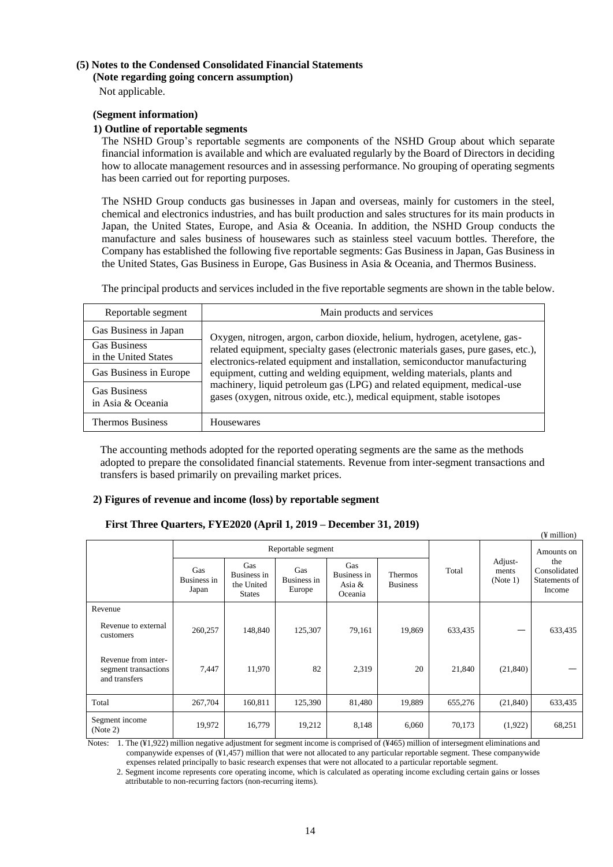# <span id="page-13-1"></span><span id="page-13-0"></span>**(5) Notes to the Condensed Consolidated Financial Statements**

**(Note regarding going concern assumption)**

Not applicable.

## <span id="page-13-2"></span>**(Segment information)**

## **1) Outline of reportable segments**

The NSHD Group's reportable segments are components of the NSHD Group about which separate financial information is available and which are evaluated regularly by the Board of Directors in deciding how to allocate management resources and in assessing performance. No grouping of operating segments has been carried out for reporting purposes.

The NSHD Group conducts gas businesses in Japan and overseas, mainly for customers in the steel, chemical and electronics industries, and has built production and sales structures for its main products in Japan, the United States, Europe, and Asia & Oceania. In addition, the NSHD Group conducts the manufacture and sales business of housewares such as stainless steel vacuum bottles. Therefore, the Company has established the following five reportable segments: Gas Business in Japan, Gas Business in the United States, Gas Business in Europe, Gas Business in Asia & Oceania, and Thermos Business.

The principal products and services included in the five reportable segments are shown in the table below.

| Reportable segment                          | Main products and services                                                                                                                                                                                                                   |  |  |  |  |
|---------------------------------------------|----------------------------------------------------------------------------------------------------------------------------------------------------------------------------------------------------------------------------------------------|--|--|--|--|
| Gas Business in Japan                       | Oxygen, nitrogen, argon, carbon dioxide, helium, hydrogen, acetylene, gas-                                                                                                                                                                   |  |  |  |  |
| <b>Gas Business</b><br>in the United States | related equipment, specialty gases (electronic materials gases, pure gases, etc.),<br>electronics-related equipment and installation, semiconductor manufacturing<br>equipment, cutting and welding equipment, welding materials, plants and |  |  |  |  |
| Gas Business in Europe                      |                                                                                                                                                                                                                                              |  |  |  |  |
| <b>Gas Business</b><br>in Asia & Oceania    | machinery, liquid petroleum gas (LPG) and related equipment, medical-use<br>gases (oxygen, nitrous oxide, etc.), medical equipment, stable isotopes                                                                                          |  |  |  |  |
| <b>Thermos Business</b>                     | Housewares                                                                                                                                                                                                                                   |  |  |  |  |

The accounting methods adopted for the reported operating segments are the same as the methods adopted to prepare the consolidated financial statements. Revenue from inter-segment transactions and transfers is based primarily on prevailing market prices.

## **2) Figures of revenue and income (loss) by reportable segment**

## **First Three Quarters, FYE2020 (April 1, 2019 – December 31, 2019)**

|                                                              |                             |                                                   | Reportable segment           |                                         |                                   |         | Amounts on                   |                                                |
|--------------------------------------------------------------|-----------------------------|---------------------------------------------------|------------------------------|-----------------------------------------|-----------------------------------|---------|------------------------------|------------------------------------------------|
|                                                              | Gas<br>Business in<br>Japan | Gas<br>Business in<br>the United<br><b>States</b> | Gas<br>Business in<br>Europe | Gas<br>Business in<br>Asia &<br>Oceania | <b>Thermos</b><br><b>Business</b> | Total   | Adjust-<br>ments<br>(Note 1) | the<br>Consolidated<br>Statements of<br>Income |
| Revenue                                                      |                             |                                                   |                              |                                         |                                   |         |                              |                                                |
| Revenue to external<br>customers                             | 260,257                     | 148,840                                           | 125,307                      | 79,161                                  | 19,869                            | 633,435 |                              | 633,435                                        |
| Revenue from inter-<br>segment transactions<br>and transfers | 7,447                       | 11,970                                            | 82                           | 2,319                                   | 20                                | 21,840  | (21, 840)                    |                                                |
| Total                                                        | 267,704                     | 160,811                                           | 125,390                      | 81,480                                  | 19,889                            | 655,276 | (21, 840)                    | 633,435                                        |
| Segment income<br>(Note 2)                                   | 19,972                      | 16,779                                            | 19,212                       | 8,148                                   | 6,060                             | 70,173  | (1,922)                      | 68,251                                         |

 $(\Psi \text{ million})$ 

Notes: 1. The (¥1,922) million negative adjustment for segment income is comprised of (¥465) million of intersegment eliminations and companywide expenses of (¥1,457) million that were not allocated to any particular reportable segment. These companywide expenses related principally to basic research expenses that were not allocated to a particular reportable segment.

2. Segment income represents core operating income, which is calculated as operating income excluding certain gains or losses attributable to non-recurring factors (non-recurring items).